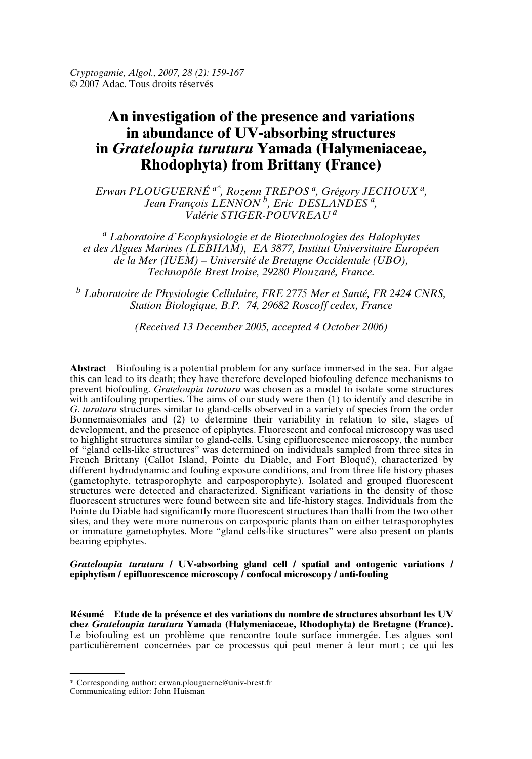*Cryptogamie, Algol., 2007, 28 (2): 159-167* © 2007 Adac. Tous droits réservés

# **An investigation of the presence and variations in abundance of UV-absorbing structures in** *Grateloupia turuturu* **Yamada (Halymeniaceae, Rhodophyta) from Brittany (France)**

*Erwan PLOUGUERNÉ a\* , Rozenn TREPOS <sup>a</sup> , Grégory JECHOUX <sup>a</sup> , Jean François LENNON <sup>b</sup> , Eric DESLANDES <sup>a</sup> , Valérie STIGER-POUVREAU <sup>a</sup>*

*<sup>a</sup> Laboratoire d'Ecophysiologie et de Biotechnologies des Halophytes et des Algues Marines (LEBHAM), EA 3877, Institut Universitaire Européen de la Mer (IUEM) – Université de Bretagne Occidentale (UBO), Technopôle Brest Iroise, 29280 Plouzané, France.*

*<sup>b</sup> Laboratoire de Physiologie Cellulaire, FRE 2775 Mer et Santé, FR 2424 CNRS, Station Biologique, B.P. 74, 29682 Roscoff cedex, France*

*(Received 13 December 2005, accepted 4 October 2006)*

**Abstract** – Biofouling is a potential problem for any surface immersed in the sea. For algae this can lead to its death; they have therefore developed biofouling defence mechanisms to prevent biofouling. *Grateloupia turuturu* was chosen as a model to isolate some structures with antifouling properties. The aims of our study were then (1) to identify and describe in *G. turuturu* structures similar to gland-cells observed in a variety of species from the order Bonnemaisoniales and (2) to determine their variability in relation to site, stages of development, and the presence of epiphytes. Fluorescent and confocal microscopy was used to highlight structures similar to gland-cells. Using epifluorescence microscopy, the number of "gland cells-like structures" was determined on individuals sampled from three sites in French Brittany (Callot Island, Pointe du Diable, and Fort Bloqué), characterized by different hydrodynamic and fouling exposure conditions, and from three life history phases (gametophyte, tetrasporophyte and carposporophyte). Isolated and grouped fluorescent structures were detected and characterized. Significant variations in the density of those fluorescent structures were found between site and life-history stages. Individuals from the Pointe du Diable had significantly more fluorescent structures than thalli from the two other sites, and they were more numerous on carposporic plants than on either tetrasporophytes or immature gametophytes. More "gland cells-like structures" were also present on plants bearing epiphytes.

*Grateloupia turuturu* **/ UV-absorbing gland cell / spatial and ontogenic variations / epiphytism / epifluorescence microscopy / confocal microscopy / anti-fouling**

**Résumé** – **Etude de la présence et des variations du nombre de structures absorbant les UV chez** *Grateloupia turuturu* **Yamada (Halymeniaceae, Rhodophyta) de Bretagne (France).** Le biofouling est un problème que rencontre toute surface immergée. Les algues sont particulièrement concernées par ce processus qui peut mener à leur mort ; ce qui les

<sup>\*</sup> Corresponding author: erwan.plouguerne@univ-brest.fr

Communicating editor: John Huisman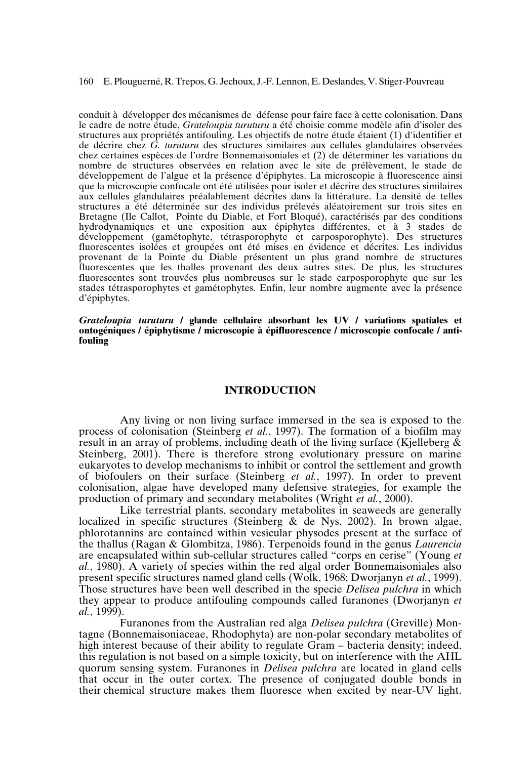#### 160 E. Plouguerné, R.Trepos, G. Jechoux, J.-F.Lennon, E. Deslandes, V. Stiger-Pouvreau

conduit à développer des mécanismes de défense pour faire face à cette colonisation. Dans le cadre de notre étude, *Grateloupia turuturu* a été choisie comme modèle afin d'isoler des structures aux propriétés antifouling. Les objectifs de notre étude étaient (1) d'identifier et de décrire chez *G. turuturu* des structures similaires aux cellules glandulaires observées chez certaines espèces de l'ordre Bonnemaisoniales et (2) de déterminer les variations du nombre de structures observées en relation avec le site de prélèvement, le stade de développement de l'algue et la présence d'épiphytes. La microscopie à fluorescence ainsi que la microscopie confocale ont été utilisées pour isoler et décrire des structures similaires aux cellules glandulaires préalablement décrites dans la littérature. La densité de telles structures a été déterminée sur des individus prélevés aléatoirement sur trois sites en Bretagne (Ile Callot, Pointe du Diable, et Fort Bloqué), caractérisés par des conditions hydrodynamiques et une exposition aux épiphytes différentes, et à 3 stades de développement (gamétophyte, tétrasporophyte et carposporophyte). Des structures fluorescentes isolées et groupées ont été mises en évidence et décrites. Les individus provenant de la Pointe du Diable présentent un plus grand nombre de structures fluorescentes que les thalles provenant des deux autres sites. De plus, les structures fluorescentes sont trouvées plus nombreuses sur le stade carposporophyte que sur les stades tétrasporophytes et gamétophytes. Enfin, leur nombre augmente avec la présence d'épiphytes.

*Grateloupia turuturu* **/ glande cellulaire absorbant les UV / variations spatiales et ontogéniques / épiphytisme / microscopie à épifluorescence / microscopie confocale / antifouling**

## **INTRODUCTION**

Any living or non living surface immersed in the sea is exposed to the process of colonisation (Steinberg *et al.*, 1997). The formation of a biofilm may result in an array of problems, including death of the living surface (Kjelleberg & Steinberg, 2001). There is therefore strong evolutionary pressure on marine eukaryotes to develop mechanisms to inhibit or control the settlement and growth of biofoulers on their surface (Steinberg *et al.*, 1997). In order to prevent colonisation, algae have developed many defensive strategies, for example the production of primary and secondary metabolites (Wright *et al.*, 2000).

Like terrestrial plants, secondary metabolites in seaweeds are generally localized in specific structures (Steinberg & de Nys, 2002). In brown algae, phlorotannins are contained within vesicular physodes present at the surface of the thallus (Ragan & Glombitza, 1986). Terpenoids found in the genus *Laurencia* are encapsulated within sub-cellular structures called "corps en cerise" (Young *et al.*, 1980). A variety of species within the red algal order Bonnemaisoniales also present specific structures named gland cells (Wolk, 1968; Dworjanyn *et al.*, 1999). Those structures have been well described in the specie *Delisea pulchra* in which they appear to produce antifouling compounds called furanones (Dworjanyn *et al.*, 1999).

Furanones from the Australian red alga *Delisea pulchra* (Greville) Montagne (Bonnemaisoniaceae, Rhodophyta) are non-polar secondary metabolites of high interest because of their ability to regulate Gram – bacteria density; indeed, this regulation is not based on a simple toxicity, but on interference with the AHL quorum sensing system. Furanones in *Delisea pulchra* are located in gland cells that occur in the outer cortex. The presence of conjugated double bonds in their chemical structure makes them fluoresce when excited by near-UV light.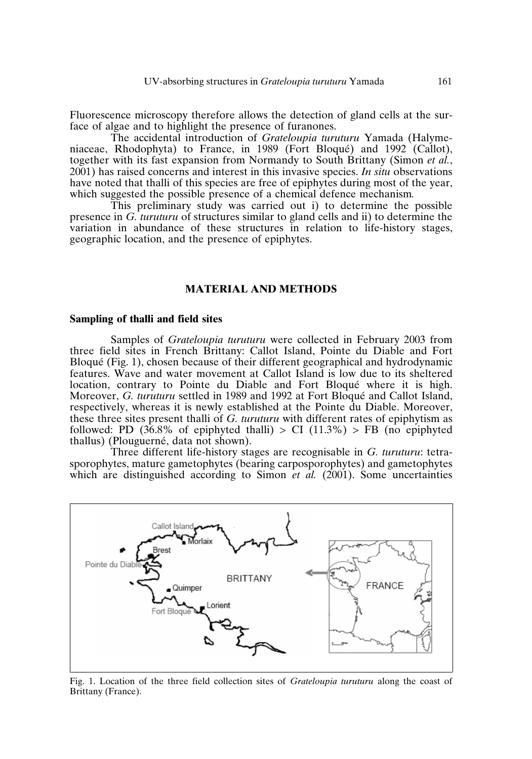Fluorescence microscopy therefore allows the detection of gland cells at the surface of algae and to highlight the presence of furanones.

The accidental introduction of *Grateloupia turuturu* Yamada (Halymeniaceae, Rhodophyta) to France, in 1989 (Fort Bloqué) and 1992 (Callot), together with its fast expansion from Normandy to South Brittany (Simon *et al.*, 2001) has raised concerns and interest in this invasive species. *In situ* observations have noted that thalli of this species are free of epiphytes during most of the year, which suggested the possible presence of a chemical defence mechanism*.*

This preliminary study was carried out i) to determine the possible presence in *G. turuturu* of structures similar to gland cells and ii) to determine the variation in abundance of these structures in relation to life-history stages, geographic location, and the presence of epiphytes.

## **MATERIAL AND METHODS**

#### **Sampling of thalli and field sites**

Samples of *Grateloupia turuturu* were collected in February 2003 from three field sites in French Brittany: Callot Island, Pointe du Diable and Fort Bloqué (Fig. 1), chosen because of their different geographical and hydrodynamic features. Wave and water movement at Callot Island is low due to its sheltered location, contrary to Pointe du Diable and Fort Bloqué where it is high. Moreover, *G. turuturu* settled in 1989 and 1992 at Fort Bloqué and Callot Island, respectively, whereas it is newly established at the Pointe du Diable. Moreover, these three sites present thalli of *G. turuturu* with different rates of epiphytism as followed: PD (36.8% of epiphyted thalli) > CI (11.3%) > FB (no epiphyted thallus) (Plouguerné, data not shown).

Three different life-history stages are recognisable in *G. turuturu*: tetrasporophytes, mature gametophytes (bearing carposporophytes) and gametophytes which are distinguished according to Simon *et al.* (2001). Some uncertainties



Fig. 1. Location of the three field collection sites of *Grateloupia turuturu* along the coast of Brittany (France).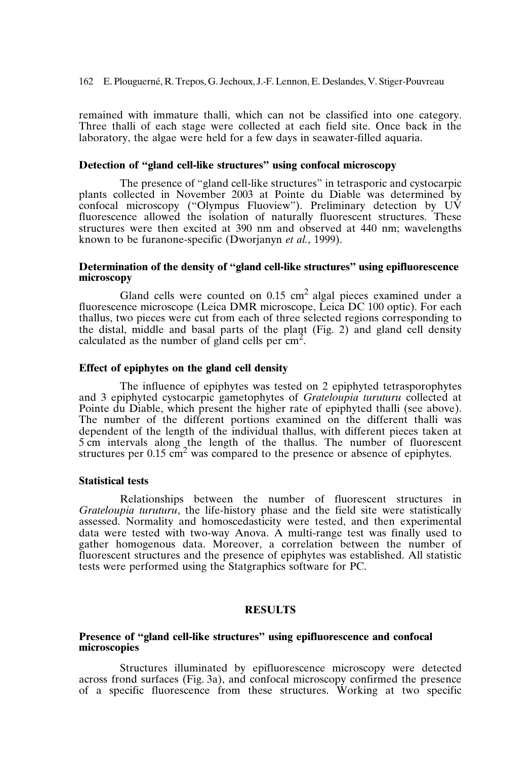remained with immature thalli, which can not be classified into one category. Three thalli of each stage were collected at each field site. Once back in the laboratory, the algae were held for a few days in seawater-filled aquaria.

## **Detection of "gland cell-like structures" using confocal microscopy**

The presence of "gland cell-like structures" in tetrasporic and cystocarpic plants collected in November 2003 at Pointe du Diable was determined by confocal microscopy ("Olympus Fluoview"). Preliminary detection by UV fluorescence allowed the isolation of naturally fluorescent structures. These structures were then excited at 390 nm and observed at 440 nm; wavelengths known to be furanone-specific (Dworjanyn *et al.*, 1999).

## **Determination of the density of "gland cell-like structures" using epifluorescence microscopy**

Gland cells were counted on  $0.15 \text{ cm}^2$  algal pieces examined under a fluorescence microscope (Leica DMR microscope, Leica DC 100 optic). For each thallus, two pieces were cut from each of three selected regions corresponding to the distal, middle and basal parts of the plant (Fig. 2) and gland cell density calculated as the number of gland cells per  $\text{cm}^2$ .

## **Effect of epiphytes on the gland cell density**

The influence of epiphytes was tested on 2 epiphyted tetrasporophytes and 3 epiphyted cystocarpic gametophytes of *Grateloupia turuturu* collected at Pointe du Diable, which present the higher rate of epiphyted thalli (see above). The number of the different portions examined on the different thalli was dependent of the length of the individual thallus, with different pieces taken at 5 cm intervals along the length of the thallus. The number of fluorescent structures per  $0.15 \text{ cm}^2$  was compared to the presence or absence of epiphytes.

## **Statistical tests**

Relationships between the number of fluorescent structures in *Grateloupia turuturu*, the life-history phase and the field site were statistically assessed. Normality and homoscedasticity were tested, and then experimental data were tested with two-way Anova. A multi-range test was finally used to gather homogenous data. Moreover, a correlation between the number of fluorescent structures and the presence of epiphytes was established. All statistic tests were performed using the Statgraphics software for PC.

## **RESULTS**

## **Presence of "gland cell-like structures" using epifluorescence and confocal microscopies**

Structures illuminated by epifluorescence microscopy were detected across frond surfaces (Fig. 3a), and confocal microscopy confirmed the presence of a specific fluorescence from these structures. Working at two specific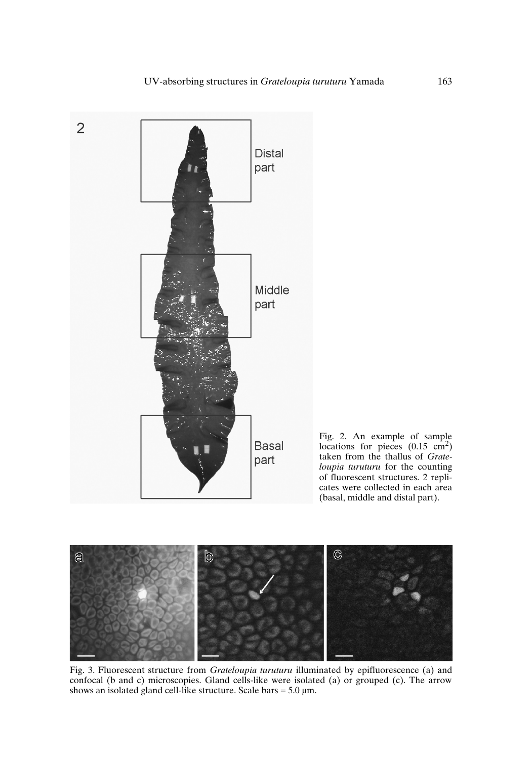

Fig. 2. An example of sample<br>locations for pieces  $(0.15 \text{ cm}^2)$ taken from the thallus of *Grateloupia turuturu* for the counting of fluorescent structures. 2 replicates were collected in each area (basal, middle and distal part).



Fig. 3. Fluorescent structure from *Grateloupia turuturu* illuminated by epifluorescence (a) and confocal (b and c) microscopies. Gland cells-like were isolated (a) or grouped (c). The arrow shows an isolated gland cell-like structure. Scale bars =  $5.0 \mu m$ .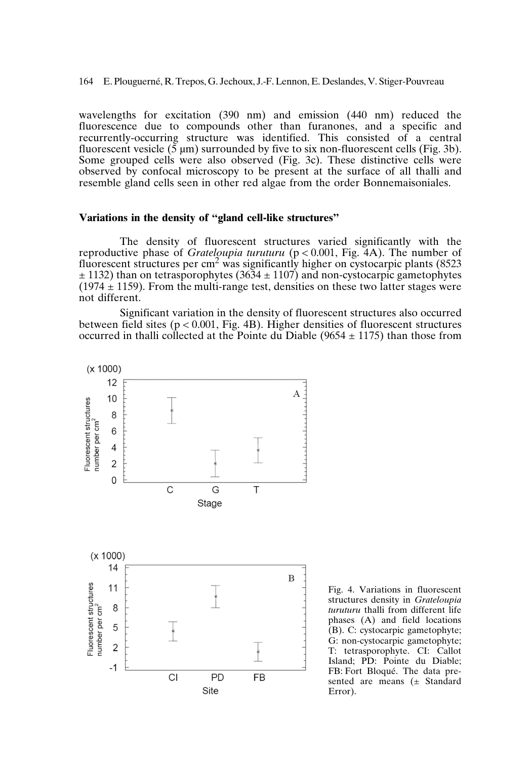164 E. Plouguerné, R.Trepos, G. Jechoux, J.-F.Lennon, E. Deslandes, V. Stiger-Pouvreau

wavelengths for excitation (390 nm) and emission (440 nm) reduced the fluorescence due to compounds other than furanones, and a specific and recurrently-occurring structure was identified. This consisted of a central fluorescent vesicle  $(\bar{5} \mu m)$  surrounded by five to six non-fluorescent cells (Fig. 3b). Some grouped cells were also observed (Fig. 3c). These distinctive cells were observed by confocal microscopy to be present at the surface of all thalli and resemble gland cells seen in other red algae from the order Bonnemaisoniales.

### **Variations in the density of "gland cell-like structures"**

The density of fluorescent structures varied significantly with the reproductive phase of *Grateloupia turuturu* (p < 0.001, Fig. 4A). The number of fluorescent structures per  $\text{cm}^2$  was significantly higher on cystocarpic plants (8523)  $\pm$  1132) than on tetrasporophytes (3634  $\pm$  1107) and non-cystocarpic gametophytes  $(1974 \pm 1159)$ . From the multi-range test, densities on these two latter stages were not different.

Significant variation in the density of fluorescent structures also occurred between field sites ( $p < 0.001$ , Fig. 4B). Higher densities of fluorescent structures occurred in thalli collected at the Pointe du Diable (9654  $\pm$  1175) than those from



Fig. 4. Variations in fluorescent structures density in *Grateloupia turuturu* thalli from different life phases (A) and field locations (B). C: cystocarpic gametophyte; G: non-cystocarpic gametophyte; T: tetrasporophyte. CI: Callot Island; PD: Pointe du Diable; FB: Fort Bloqué. The data presented are means (± Standard Error).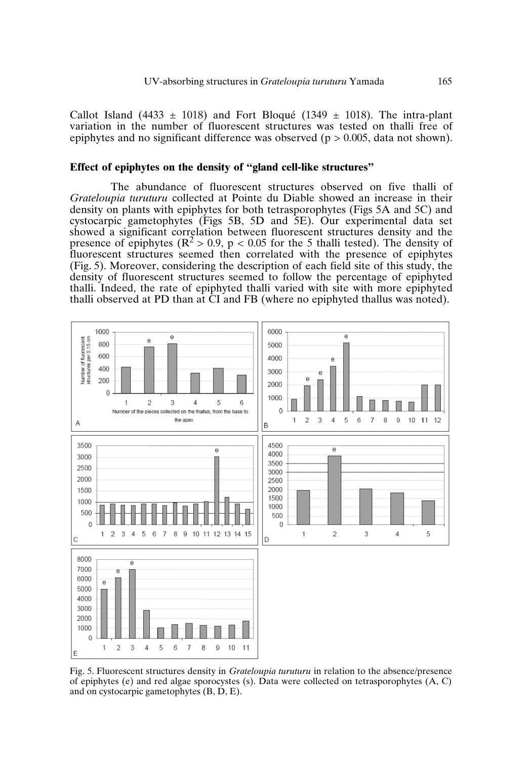Callot Island (4433  $\pm$  1018) and Fort Bloqué (1349  $\pm$  1018). The intra-plant variation in the number of fluorescent structures was tested on thalli free of epiphytes and no significant difference was observed ( $p > 0.005$ , data not shown).

#### **Effect of epiphytes on the density of "gland cell-like structures"**

The abundance of fluorescent structures observed on five thalli of *Grateloupia turuturu* collected at Pointe du Diable showed an increase in their density on plants with epiphytes for both tetrasporophytes (Figs 5A and 5C) and cystocarpic gametophytes (Figs 5B, 5D and 5E). Our experimental data set showed a significant correlation between fluorescent structures density and the presence of epiphytes ( $\mathbb{R}^2 > 0.9$ ,  $p < 0.05$  for the 5 thalli tested). The density of fluorescent structures seemed then correlated with the presence of epiphytes (Fig. 5). Moreover, considering the description of each field site of this study, the density of fluorescent structures seemed to follow the percentage of epiphyted thalli. Indeed, the rate of epiphyted thalli varied with site with more epiphyted thalli observed at PD than at CI and FB (where no epiphyted thallus was noted).



Fig. 5. Fluorescent structures density in *Grateloupia turuturu* in relation to the absence/presence of epiphytes (e) and red algae sporocystes (s). Data were collected on tetrasporophytes (A, C) and on cystocarpic gametophytes (B, D, E).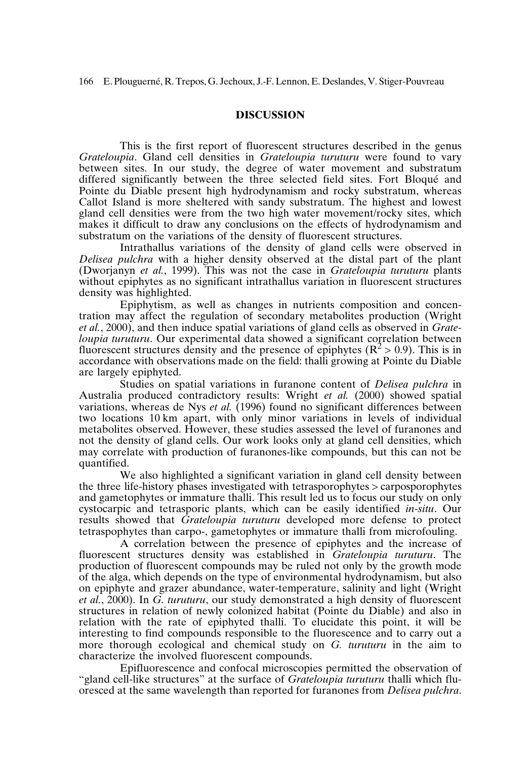## **DISCUSSION**

This is the first report of fluorescent structures described in the genus *Grateloupia*. Gland cell densities in *Grateloupia turuturu* were found to vary between sites. In our study, the degree of water movement and substratum differed significantly between the three selected field sites. Fort Bloqué and Pointe du Diable present high hydrodynamism and rocky substratum, whereas Callot Island is more sheltered with sandy substratum. The highest and lowest gland cell densities were from the two high water movement/rocky sites, which makes it difficult to draw any conclusions on the effects of hydrodynamism and substratum on the variations of the density of fluorescent structures.

Intrathallus variations of the density of gland cells were observed in *Delisea pulchra* with a higher density observed at the distal part of the plant (Dworjanyn *et al.*, 1999). This was not the case in *Grateloupia turuturu* plants without epiphytes as no significant intrathallus variation in fluorescent structures density was highlighted.

Epiphytism, as well as changes in nutrients composition and concentration may affect the regulation of secondary metabolites production (Wright *et al.*, 2000), and then induce spatial variations of gland cells as observed in *Grateloupia turuturu*. Our experimental data showed a significant correlation between fluorescent structures density and the presence of epiphytes  $(R^2 > 0.9)$ . This is in accordance with observations made on the field: thalli growing at Pointe du Diable are largely epiphyted.

Studies on spatial variations in furanone content of *Delisea pulchra* in Australia produced contradictory results: Wright *et al.* (2000) showed spatial variations, whereas de Nys *et al.* (1996) found no significant differences between two locations 10 km apart, with only minor variations in levels of individual metabolites observed. However, these studies assessed the level of furanones and not the density of gland cells. Our work looks only at gland cell densities, which may correlate with production of furanones-like compounds, but this can not be quantified.

We also highlighted a significant variation in gland cell density between the three life-history phases investigated with tetrasporophytes > carposporophytes and gametophytes or immature thalli. This result led us to focus our study on only cystocarpic and tetrasporic plants, which can be easily identified *in-situ*. Our results showed that *Grateloupia turuturu* developed more defense to protect tetraspophytes than carpo-, gametophytes or immature thalli from microfouling.

A correlation between the presence of epiphytes and the increase of fluorescent structures density was established in *Grateloupia turuturu*. The production of fluorescent compounds may be ruled not only by the growth mode of the alga, which depends on the type of environmental hydrodynamism, but also on epiphyte and grazer abundance, water-temperature, salinity and light (Wright *et al.*, 2000). In *G. turuturu*, our study demonstrated a high density of fluorescent structures in relation of newly colonized habitat (Pointe du Diable) and also in relation with the rate of epiphyted thalli. To elucidate this point, it will be interesting to find compounds responsible to the fluorescence and to carry out a more thorough ecological and chemical study on *G. turuturu* in the aim to characterize the involved fluorescent compounds.

Epifluorescence and confocal microscopies permitted the observation of "gland cell-like structures" at the surface of *Grateloupia turuturu* thalli which fluoresced at the same wavelength than reported for furanones from *Delisea pulchra*.